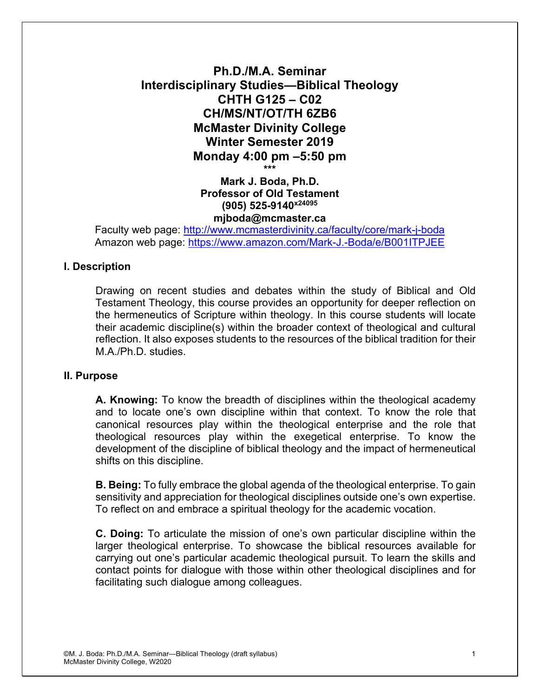# **Ph.D./M.A. Seminar Interdisciplinary Studies—Biblical Theology CHTH G125 – C02 CH/MS/NT/OT/TH 6ZB6 McMaster Divinity College Winter Semester 2019 Monday 4:00 pm –5:50 pm \*\*\***

**Mark J. Boda, Ph.D. Professor of Old Testament (905) 525-9140x24095 mjboda@mcmaster.ca** 

Faculty web page: http://www.mcmasterdivinity.ca/faculty/core/mark-j-boda Amazon web page: https://www.amazon.com/Mark-J.-Boda/e/B001ITPJEE

## **I. Description**

Drawing on recent studies and debates within the study of Biblical and Old Testament Theology, this course provides an opportunity for deeper reflection on the hermeneutics of Scripture within theology. In this course students will locate their academic discipline(s) within the broader context of theological and cultural reflection. It also exposes students to the resources of the biblical tradition for their M.A./Ph.D. studies.

### **II. Purpose**

**A. Knowing:** To know the breadth of disciplines within the theological academy and to locate one's own discipline within that context. To know the role that canonical resources play within the theological enterprise and the role that theological resources play within the exegetical enterprise. To know the development of the discipline of biblical theology and the impact of hermeneutical shifts on this discipline.

**B. Being:** To fully embrace the global agenda of the theological enterprise. To gain sensitivity and appreciation for theological disciplines outside one's own expertise. To reflect on and embrace a spiritual theology for the academic vocation.

**C. Doing:** To articulate the mission of one's own particular discipline within the larger theological enterprise. To showcase the biblical resources available for carrying out one's particular academic theological pursuit. To learn the skills and contact points for dialogue with those within other theological disciplines and for facilitating such dialogue among colleagues.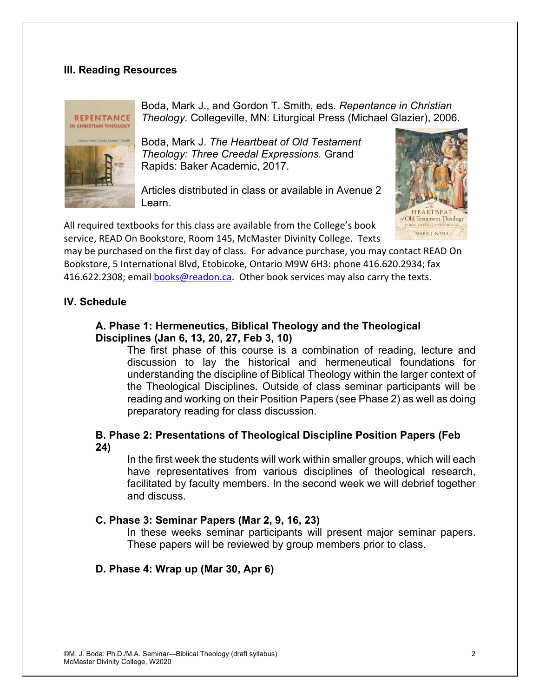## **III. Reading Resources**



Boda, Mark J., and Gordon T. Smith, eds. *Repentance in Christian Theology.* Collegeville, MN: Liturgical Press (Michael Glazier), 2006.

Boda, Mark J. *The Heartbeat of Old Testament Theology: Three Creedal Expressions.* Grand Rapids: Baker Academic, 2017.

Articles distributed in class or available in Avenue 2 Learn.

All required textbooks for this class are available from the College's book service, READ On Bookstore, Room 145, McMaster Divinity College. Texts



may be purchased on the first day of class. For advance purchase, you may contact READ On Bookstore, 5 International Blvd, Etobicoke, Ontario M9W 6H3: phone 416.620.2934; fax 416.622.2308; email books@readon.ca. Other book services may also carry the texts.

## **IV. Schedule**

## **A. Phase 1: Hermeneutics, Biblical Theology and the Theological Disciplines (Jan 6, 13, 20, 27, Feb 3, 10)**

The first phase of this course is a combination of reading, lecture and discussion to lay the historical and hermeneutical foundations for understanding the discipline of Biblical Theology within the larger context of the Theological Disciplines. Outside of class seminar participants will be reading and working on their Position Papers (see Phase 2) as well as doing preparatory reading for class discussion.

## **B. Phase 2: Presentations of Theological Discipline Position Papers (Feb 24)**

In the first week the students will work within smaller groups, which will each have representatives from various disciplines of theological research, facilitated by faculty members. In the second week we will debrief together and discuss.

## **C. Phase 3: Seminar Papers (Mar 2, 9, 16, 23)**

In these weeks seminar participants will present major seminar papers. These papers will be reviewed by group members prior to class.

## **D. Phase 4: Wrap up (Mar 30, Apr 6)**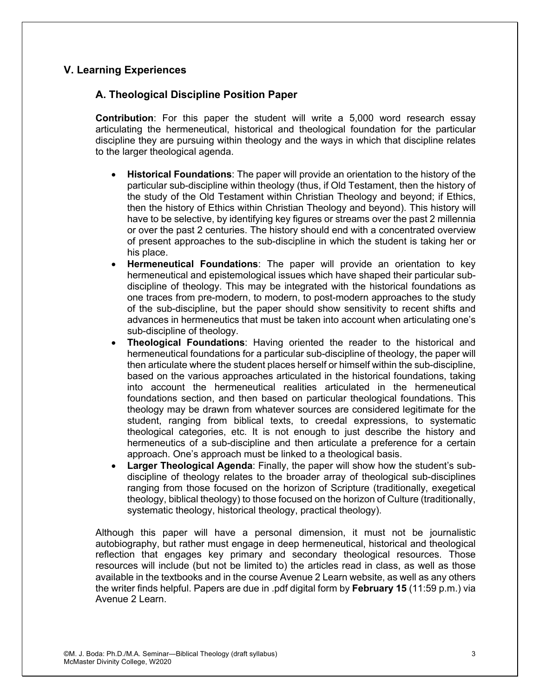## **V. Learning Experiences**

## **A. Theological Discipline Position Paper**

**Contribution**: For this paper the student will write a 5,000 word research essay articulating the hermeneutical, historical and theological foundation for the particular discipline they are pursuing within theology and the ways in which that discipline relates to the larger theological agenda.

- **Historical Foundations**: The paper will provide an orientation to the history of the particular sub-discipline within theology (thus, if Old Testament, then the history of the study of the Old Testament within Christian Theology and beyond; if Ethics, then the history of Ethics within Christian Theology and beyond). This history will have to be selective, by identifying key figures or streams over the past 2 millennia or over the past 2 centuries. The history should end with a concentrated overview of present approaches to the sub-discipline in which the student is taking her or his place.
- **Hermeneutical Foundations**: The paper will provide an orientation to key hermeneutical and epistemological issues which have shaped their particular subdiscipline of theology. This may be integrated with the historical foundations as one traces from pre-modern, to modern, to post-modern approaches to the study of the sub-discipline, but the paper should show sensitivity to recent shifts and advances in hermeneutics that must be taken into account when articulating one's sub-discipline of theology.
- **Theological Foundations**: Having oriented the reader to the historical and hermeneutical foundations for a particular sub-discipline of theology, the paper will then articulate where the student places herself or himself within the sub-discipline, based on the various approaches articulated in the historical foundations, taking into account the hermeneutical realities articulated in the hermeneutical foundations section, and then based on particular theological foundations. This theology may be drawn from whatever sources are considered legitimate for the student, ranging from biblical texts, to creedal expressions, to systematic theological categories, etc. It is not enough to just describe the history and hermeneutics of a sub-discipline and then articulate a preference for a certain approach. One's approach must be linked to a theological basis.
- **Larger Theological Agenda**: Finally, the paper will show how the student's subdiscipline of theology relates to the broader array of theological sub-disciplines ranging from those focused on the horizon of Scripture (traditionally, exegetical theology, biblical theology) to those focused on the horizon of Culture (traditionally, systematic theology, historical theology, practical theology).

Although this paper will have a personal dimension, it must not be journalistic autobiography, but rather must engage in deep hermeneutical, historical and theological reflection that engages key primary and secondary theological resources. Those resources will include (but not be limited to) the articles read in class, as well as those available in the textbooks and in the course Avenue 2 Learn website, as well as any others the writer finds helpful. Papers are due in .pdf digital form by **February 15** (11:59 p.m.) via Avenue 2 Learn.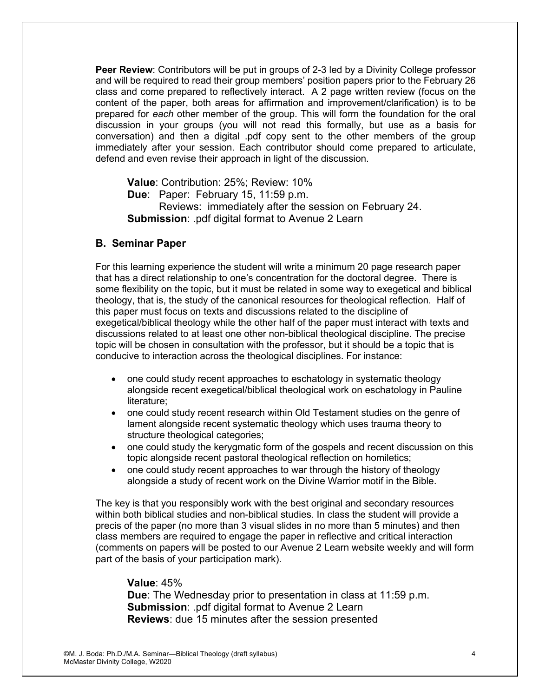**Peer Review**: Contributors will be put in groups of 2-3 led by a Divinity College professor and will be required to read their group members' position papers prior to the February 26 class and come prepared to reflectively interact. A 2 page written review (focus on the content of the paper, both areas for affirmation and improvement/clarification) is to be prepared for *each* other member of the group. This will form the foundation for the oral discussion in your groups (you will not read this formally, but use as a basis for conversation) and then a digital .pdf copy sent to the other members of the group immediately after your session. Each contributor should come prepared to articulate, defend and even revise their approach in light of the discussion.

**Value**: Contribution: 25%; Review: 10% **Due**: Paper: February 15, 11:59 p.m. Reviews: immediately after the session on February 24. **Submission**: .pdf digital format to Avenue 2 Learn

### **B. Seminar Paper**

For this learning experience the student will write a minimum 20 page research paper that has a direct relationship to one's concentration for the doctoral degree. There is some flexibility on the topic, but it must be related in some way to exegetical and biblical theology, that is, the study of the canonical resources for theological reflection. Half of this paper must focus on texts and discussions related to the discipline of exegetical/biblical theology while the other half of the paper must interact with texts and discussions related to at least one other non-biblical theological discipline. The precise topic will be chosen in consultation with the professor, but it should be a topic that is conducive to interaction across the theological disciplines. For instance:

- one could study recent approaches to eschatology in systematic theology alongside recent exegetical/biblical theological work on eschatology in Pauline literature;
- one could study recent research within Old Testament studies on the genre of lament alongside recent systematic theology which uses trauma theory to structure theological categories;
- one could study the kerygmatic form of the gospels and recent discussion on this topic alongside recent pastoral theological reflection on homiletics;
- one could study recent approaches to war through the history of theology alongside a study of recent work on the Divine Warrior motif in the Bible.

The key is that you responsibly work with the best original and secondary resources within both biblical studies and non-biblical studies. In class the student will provide a precis of the paper (no more than 3 visual slides in no more than 5 minutes) and then class members are required to engage the paper in reflective and critical interaction (comments on papers will be posted to our Avenue 2 Learn website weekly and will form part of the basis of your participation mark).

## **Value**: 45% **Due**: The Wednesday prior to presentation in class at 11:59 p.m. **Submission**: .pdf digital format to Avenue 2 Learn **Reviews**: due 15 minutes after the session presented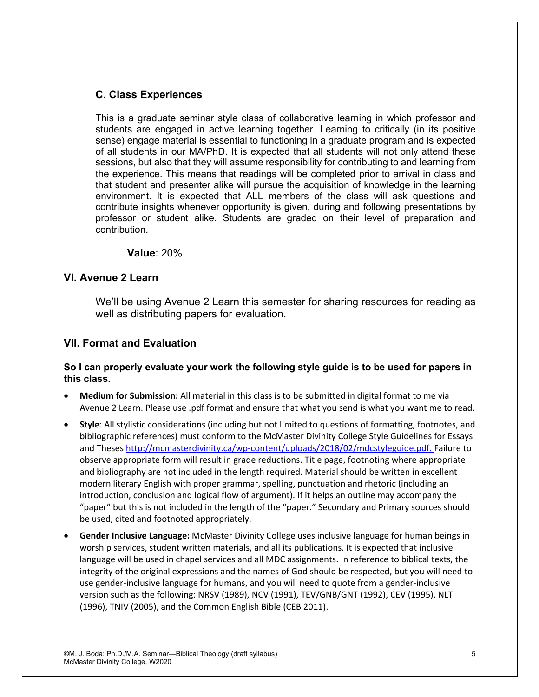## **C. Class Experiences**

This is a graduate seminar style class of collaborative learning in which professor and students are engaged in active learning together. Learning to critically (in its positive sense) engage material is essential to functioning in a graduate program and is expected of all students in our MA/PhD. It is expected that all students will not only attend these sessions, but also that they will assume responsibility for contributing to and learning from the experience. This means that readings will be completed prior to arrival in class and that student and presenter alike will pursue the acquisition of knowledge in the learning environment. It is expected that ALL members of the class will ask questions and contribute insights whenever opportunity is given, during and following presentations by professor or student alike. Students are graded on their level of preparation and contribution.

### **Value**: 20%

### **VI. Avenue 2 Learn**

We'll be using Avenue 2 Learn this semester for sharing resources for reading as well as distributing papers for evaluation.

### **VII. Format and Evaluation**

### **So I can properly evaluate your work the following style guide is to be used for papers in this class.**

- **Medium for Submission:** All material in this class is to be submitted in digital format to me via Avenue 2 Learn. Please use .pdf format and ensure that what you send is what you want me to read.
- **Style**: All stylistic considerations (including but not limited to questions of formatting, footnotes, and bibliographic references) must conform to the McMaster Divinity College Style Guidelines for Essays and Theses http://mcmasterdivinity.ca/wp-content/uploads/2018/02/mdcstyleguide.pdf. Failure to observe appropriate form will result in grade reductions. Title page, footnoting where appropriate and bibliography are not included in the length required. Material should be written in excellent modern literary English with proper grammar, spelling, punctuation and rhetoric (including an introduction, conclusion and logical flow of argument). If it helps an outline may accompany the "paper" but this is not included in the length of the "paper." Secondary and Primary sources should be used, cited and footnoted appropriately.
- **Gender Inclusive Language:** McMaster Divinity College uses inclusive language for human beings in worship services, student written materials, and all its publications. It is expected that inclusive language will be used in chapel services and all MDC assignments. In reference to biblical texts, the integrity of the original expressions and the names of God should be respected, but you will need to use gender-inclusive language for humans, and you will need to quote from a gender-inclusive version such as the following: NRSV (1989), NCV (1991), TEV/GNB/GNT (1992), CEV (1995), NLT (1996), TNIV (2005), and the Common English Bible (CEB 2011).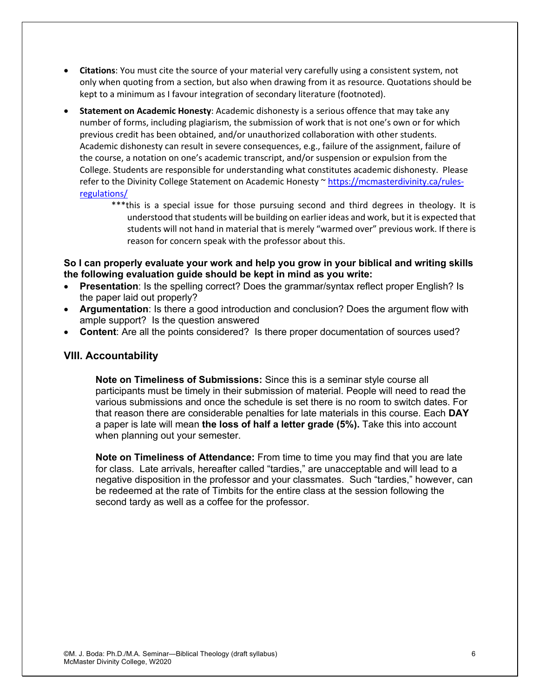- **Citations**: You must cite the source of your material very carefully using a consistent system, not only when quoting from a section, but also when drawing from it as resource. Quotations should be kept to a minimum as I favour integration of secondary literature (footnoted).
- **Statement on Academic Honesty**: Academic dishonesty is a serious offence that may take any number of forms, including plagiarism, the submission of work that is not one's own or for which previous credit has been obtained, and/or unauthorized collaboration with other students. Academic dishonesty can result in severe consequences, e.g., failure of the assignment, failure of the course, a notation on one's academic transcript, and/or suspension or expulsion from the College. Students are responsible for understanding what constitutes academic dishonesty. Please refer to the Divinity College Statement on Academic Honesty ~ https://mcmasterdivinity.ca/rulesregulations/
	- \*\*\*this is a special issue for those pursuing second and third degrees in theology. It is understood that students will be building on earlier ideas and work, but it is expected that students will not hand in material that is merely "warmed over" previous work. If there is reason for concern speak with the professor about this.

### **So I can properly evaluate your work and help you grow in your biblical and writing skills the following evaluation guide should be kept in mind as you write:**

- **Presentation**: Is the spelling correct? Does the grammar/syntax reflect proper English? Is the paper laid out properly?
- **Argumentation**: Is there a good introduction and conclusion? Does the argument flow with ample support? Is the question answered
- **Content**: Are all the points considered? Is there proper documentation of sources used?

### **VIII. Accountability**

**Note on Timeliness of Submissions:** Since this is a seminar style course all participants must be timely in their submission of material. People will need to read the various submissions and once the schedule is set there is no room to switch dates. For that reason there are considerable penalties for late materials in this course. Each **DAY** a paper is late will mean **the loss of half a letter grade (5%).** Take this into account when planning out your semester.

**Note on Timeliness of Attendance:** From time to time you may find that you are late for class. Late arrivals, hereafter called "tardies," are unacceptable and will lead to a negative disposition in the professor and your classmates. Such "tardies," however, can be redeemed at the rate of Timbits for the entire class at the session following the second tardy as well as a coffee for the professor.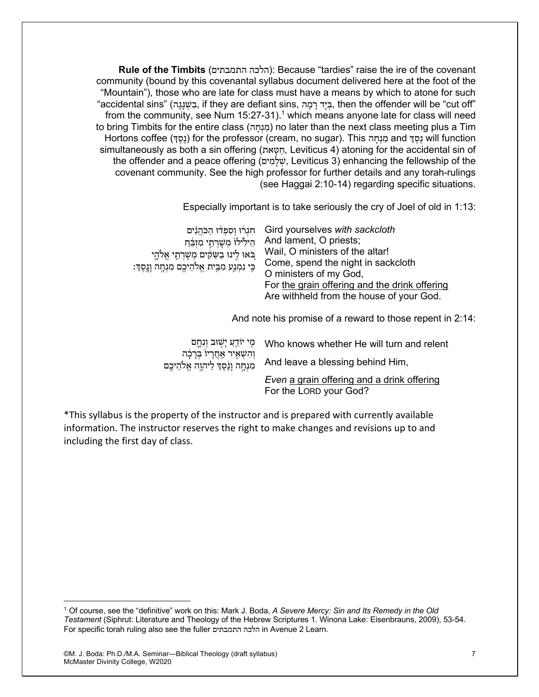**Rule of the Timbits** ( םיתבמתה הכלה( : Because "tardies" raise the ire of the covenant community (bound by this covenantal syllabus document delivered here at the foot of the "Mountain"), those who are late for class must have a means by which to atone for such "accidental sins" ( בִשְׁגָגָה , if they are defiant sins, רָמָה בְּיָד , then the offender will be "cut off" from the community, see Num  $15:27-31$ .<sup>1</sup> which means anyone late for class will need to bring Timbits for the entire class ( מִנְחָה ( no later than the next class meeting plus a Tim Hortons coffee ( נֶסֶך ( for the professor (cream, no sugar). This מִנְחָה and נֶסֶך will function simultaneously as both a sin offering ( חַטָּתא , Leviticus 4) atoning for the accidental sin of the offender and a peace offering ( שְׁלָמִםי , Leviticus 3) enhancing the fellowship of the covenant community. See the high professor for further details and any torah-rulings (see Haggai 2:10-14) regarding specific situations.

Especially important is to take seriously the cry of Joel of old in 1:13:

| חגרו וספדו הכהנים                                  | Gird yourselves with sackcloth                            |
|----------------------------------------------------|-----------------------------------------------------------|
| הֵילִילוֹ מִשָּׁרְתֵי מִזְבֵּחַ                    | And lament, O priests;                                    |
| ְבֹּאוּ לִינוּ בַשַּׂמִּים מְשָׁרְתֵי אֱלֹהֶי      | Wail, O ministers of the altar!                           |
| ּבִּי נִמְנַע מִבֵּית אֱלֹהֵיכֶם מִנְחֶה וָנֵסֶדּ: | Come, spend the night in sackcloth                        |
|                                                    | O ministers of my God,                                    |
|                                                    | For the grain offering and the drink offering             |
|                                                    | Are withheld from the house of your God.                  |
|                                                    |                                                           |
|                                                    | And note his promise of a reward to those repent in 2:14: |

|                                                                        | קי יוֹדֵעַ יָשְׁוּבּ וְנָחֵם Who knows whether He will turn and relent |
|------------------------------------------------------------------------|------------------------------------------------------------------------|
| וְהִשְׁאָיר אַחֲרָיוֹ בְּרָבְה<br>מִנְחֶה וָנֶסֶדְּ לַיהוֶה אֱלֹהֵיכֶם | And leave a blessing behind Him,                                       |
|                                                                        | Even a grain offering and a drink offering<br>For the LORD your God?   |

\*This syllabus is the property of the instructor and is prepared with currently available information. The instructor reserves the right to make changes and revisions up to and including the first day of class.

<u>.</u>

<sup>1</sup> Of course, see the "definitive" work on this: Mark J. Boda, *A Severe Mercy: Sin and Its Remedy in the Old Testament* (Siphrut: Literature and Theology of the Hebrew Scriptures 1. Winona Lake: Eisenbrauns, 2009), 53-54. For specific torah ruling also see the fuller םיתבמתה הכלה in Avenue 2 Learn.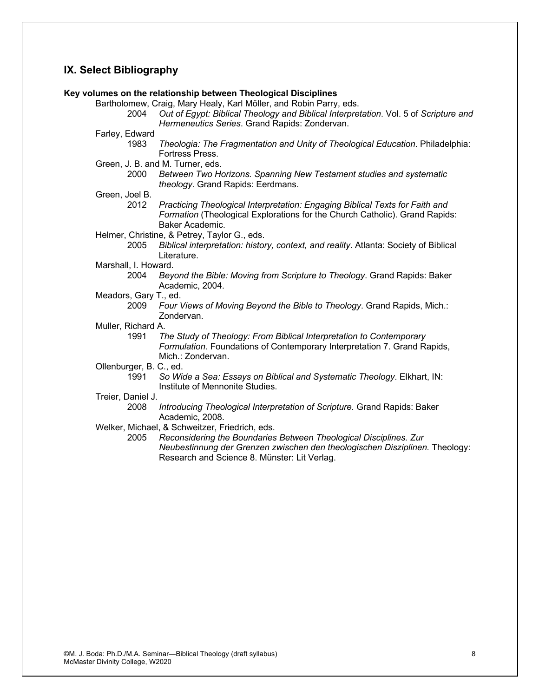### **IX. Select Bibliography**

#### **Key volumes on the relationship between Theological Disciplines**

Bartholomew, Craig, Mary Healy, Karl Möller, and Robin Parry, eds.

2004 *Out of Egypt: Biblical Theology and Biblical Interpretation*. Vol. 5 of *Scripture and Hermeneutics Series*. Grand Rapids: Zondervan.

#### Farley, Edward

- 1983 *Theologia: The Fragmentation and Unity of Theological Education*. Philadelphia: Fortress Press.
- Green, J. B. and M. Turner, eds.
	- 2000 *Between Two Horizons. Spanning New Testament studies and systematic theology*. Grand Rapids: Eerdmans.

#### Green, Joel B.

- 2012 *Practicing Theological Interpretation: Engaging Biblical Texts for Faith and Formation* (Theological Explorations for the Church Catholic). Grand Rapids: Baker Academic.
- Helmer, Christine, & Petrey, Taylor G., eds.
	- 2005 *Biblical interpretation: history, context, and reality*. Atlanta: Society of Biblical Literature.

### Marshall, I. Howard.

2004 *Beyond the Bible: Moving from Scripture to Theology*. Grand Rapids: Baker Academic, 2004.

#### Meadors, Gary T., ed.

2009 *Four Views of Moving Beyond the Bible to Theology*. Grand Rapids, Mich.: Zondervan.

#### Muller, Richard A.

1991 *The Study of Theology: From Biblical Interpretation to Contemporary Formulation*. Foundations of Contemporary Interpretation 7. Grand Rapids, Mich.: Zondervan.

#### Ollenburger, B. C., ed.

1991 *So Wide a Sea: Essays on Biblical and Systematic Theology*. Elkhart, IN: Institute of Mennonite Studies.

#### Treier, Daniel J.

2008 *Introducing Theological Interpretation of Scripture.* Grand Rapids: Baker Academic, 2008.

#### Welker, Michael, & Schweitzer, Friedrich, eds.

2005 *Reconsidering the Boundaries Between Theological Disciplines. Zur Neubestinnung der Grenzen zwischen den theologischen Disziplinen.* Theology: Research and Science 8. Münster: Lit Verlag.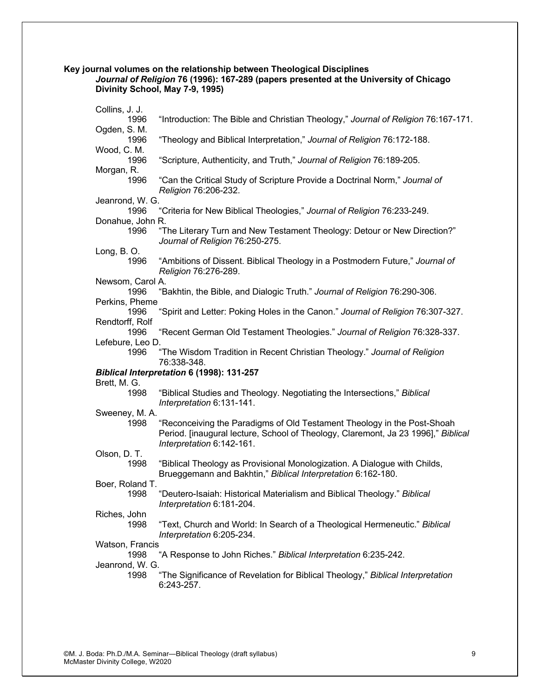**Key journal volumes on the relationship between Theological Disciplines**

|                                 | Journal of Religion 76 (1996): 167-289 (papers presented at the University of Chicago |
|---------------------------------|---------------------------------------------------------------------------------------|
| Divinity School, May 7-9, 1995) |                                                                                       |

| Collins, J. J.            |                                                                                                             |  |
|---------------------------|-------------------------------------------------------------------------------------------------------------|--|
| 1996                      | "Introduction: The Bible and Christian Theology," Journal of Religion 76:167-171.                           |  |
| Ogden, S. M.<br>1996      | "Theology and Biblical Interpretation," Journal of Religion 76:172-188.                                     |  |
| Wood, C. M.               |                                                                                                             |  |
| 1996                      | "Scripture, Authenticity, and Truth," Journal of Religion 76:189-205.                                       |  |
| Morgan, R.<br>1996        | "Can the Critical Study of Scripture Provide a Doctrinal Norm," Journal of                                  |  |
|                           | Religion 76:206-232.                                                                                        |  |
| Jeanrond, W. G.           |                                                                                                             |  |
| 1996                      | "Criteria for New Biblical Theologies," Journal of Religion 76:233-249.                                     |  |
| Donahue, John R.          |                                                                                                             |  |
| 1996                      | "The Literary Turn and New Testament Theology: Detour or New Direction?"<br>Journal of Religion 76:250-275. |  |
| Long, B.O.                |                                                                                                             |  |
| 1996                      | "Ambitions of Dissent. Biblical Theology in a Postmodern Future," Journal of<br>Religion 76:276-289.        |  |
| Newsom, Carol A.          |                                                                                                             |  |
| 1996                      | "Bakhtin, the Bible, and Dialogic Truth." Journal of Religion 76:290-306.                                   |  |
| Perkins, Pheme            |                                                                                                             |  |
| 1996                      | "Spirit and Letter: Poking Holes in the Canon." Journal of Religion 76:307-327.                             |  |
| Rendtorff, Rolf           |                                                                                                             |  |
| 1996                      | "Recent German Old Testament Theologies." Journal of Religion 76:328-337.                                   |  |
| Lefebure, Leo D.<br>1996  | "The Wisdom Tradition in Recent Christian Theology." Journal of Religion<br>76:338-348.                     |  |
|                           | Biblical Interpretation 6 (1998): 131-257                                                                   |  |
| Brett, M. G.              |                                                                                                             |  |
| 1998                      | "Biblical Studies and Theology. Negotiating the Intersections," Biblical                                    |  |
|                           | Interpretation 6:131-141.                                                                                   |  |
| Sweeney, M. A.            |                                                                                                             |  |
| 1998                      | "Reconceiving the Paradigms of Old Testament Theology in the Post-Shoah                                     |  |
|                           | Period. [inaugural lecture, School of Theology, Claremont, Ja 23 1996]," Biblical                           |  |
|                           | Interpretation 6:142-161.                                                                                   |  |
| Olson, D. T.<br>1998      | "Biblical Theology as Provisional Monologization. A Dialogue with Childs,                                   |  |
|                           | Brueggemann and Bakhtin," Biblical Interpretation 6:162-180.                                                |  |
| Boer, Roland T.           |                                                                                                             |  |
| 1998                      | "Deutero-Isaiah: Historical Materialism and Biblical Theology." Biblical                                    |  |
|                           | Interpretation 6:181-204.                                                                                   |  |
| Riches, John              |                                                                                                             |  |
| 1998                      | "Text, Church and World: In Search of a Theological Hermeneutic." Biblical                                  |  |
| Interpretation 6:205-234. |                                                                                                             |  |
| Watson, Francis           |                                                                                                             |  |
| 1998                      | "A Response to John Riches." Biblical Interpretation 6:235-242.                                             |  |
| Jeanrond, W. G.<br>1998   | "The Significance of Revelation for Biblical Theology," Biblical Interpretation                             |  |
|                           | 6:243-257.                                                                                                  |  |
|                           |                                                                                                             |  |
|                           |                                                                                                             |  |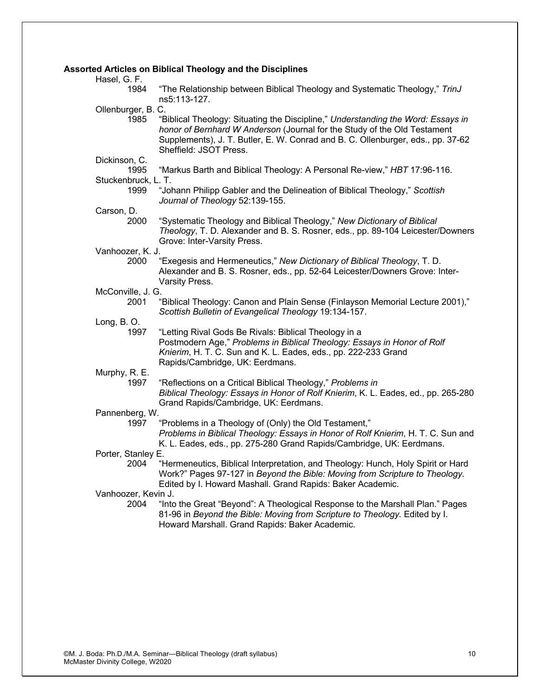#### **Assorted Articles on Biblical Theology and the Disciplines**

Hasel, G. F.

1984 "The Relationship between Biblical Theology and Systematic Theology," *TrinJ* ns5:113-127.

Ollenburger, B. C.

1985 "Biblical Theology: Situating the Discipline," *Understanding the Word: Essays in honor of Bernhard W Anderson* (Journal for the Study of the Old Testament Supplements), J. T. Butler, E. W. Conrad and B. C. Ollenburger, eds., pp. 37-62 Sheffield: JSOT Press.

Dickinson, C.

1995 "Markus Barth and Biblical Theology: A Personal Re-view," *HBT* 17:96-116.

### Stuckenbruck, L. T.

1999 "Johann Philipp Gabler and the Delineation of Biblical Theology," *Scottish Journal of Theology* 52:139-155.

Carson, D.

2000 "Systematic Theology and Biblical Theology," *New Dictionary of Biblical Theology*, T. D. Alexander and B. S. Rosner, eds., pp. 89-104 Leicester/Downers Grove: Inter-Varsity Press.

#### Vanhoozer, K. J.

- 2000 "Exegesis and Hermeneutics," *New Dictionary of Biblical Theology*, T. D. Alexander and B. S. Rosner, eds., pp. 52-64 Leicester/Downers Grove: Inter-Varsity Press.
- McConville, J. G.
	- 2001 "Biblical Theology: Canon and Plain Sense (Finlayson Memorial Lecture 2001)," *Scottish Bulletin of Evangelical Theology* 19:134-157.
- Long, B. O.
	- 1997 "Letting Rival Gods Be Rivals: Biblical Theology in a Postmodern Age," *Problems in Biblical Theology: Essays in Honor of Rolf Knierim*, H. T. C. Sun and K. L. Eades, eds., pp. 222-233 Grand Rapids/Cambridge, UK: Eerdmans.

Murphy, R. E.

1997 "Reflections on a Critical Biblical Theology," *Problems in Biblical Theology: Essays in Honor of Rolf Knierim*, K. L. Eades, ed., pp. 265-280 Grand Rapids/Cambridge, UK: Eerdmans.

#### Pannenberg, W.

- 1997 "Problems in a Theology of (Only) the Old Testament," *Problems in Biblical Theology: Essays in Honor of Rolf Knierim*, H. T. C. Sun and K. L. Eades, eds., pp. 275-280 Grand Rapids/Cambridge, UK: Eerdmans.
- Porter, Stanley E.
	- 2004 "Hermeneutics, Biblical Interpretation, and Theology: Hunch, Holy Spirit or Hard Work?" Pages 97-127 in *Beyond the Bible: Moving from Scripture to Theology.* Edited by I. Howard Mashall. Grand Rapids: Baker Academic.

Vanhoozer, Kevin J.

2004 "Into the Great "Beyond": A Theological Response to the Marshall Plan." Pages 81-96 in *Beyond the Bible: Moving from Scripture to Theology.* Edited by I. Howard Marshall. Grand Rapids: Baker Academic.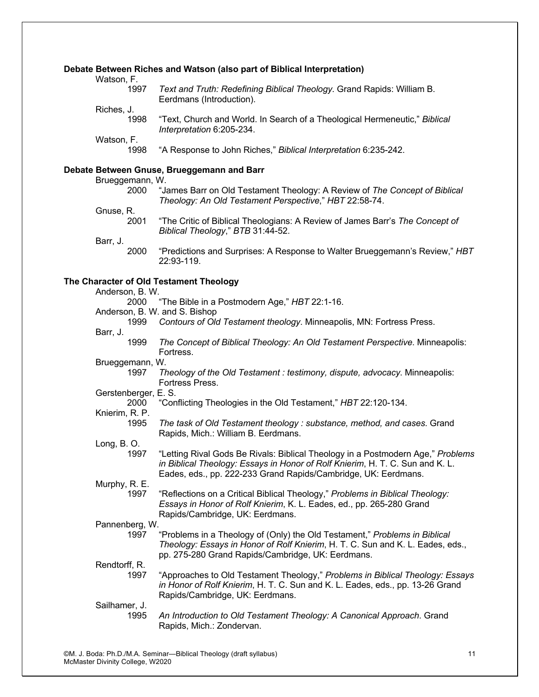### **Debate Between Riches and Watson (also part of Biblical Interpretation)**

|  |  | Watson, F. |  |
|--|--|------------|--|
|--|--|------------|--|

| 1997 | Text and Truth: Redefining Biblical Theology. Grand Rapids: William B. |
|------|------------------------------------------------------------------------|
|      | Eerdmans (Introduction).                                               |

- Riches, J.
	- 1998 "Text, Church and World. In Search of a Theological Hermeneutic," *Biblical Interpretation* 6:205-234.
- Watson, F.<br>1998
	- 1998 "A Response to John Riches," *Biblical Interpretation* 6:235-242.

### **Debate Between Gnuse, Brueggemann and Barr**

| Brueggemann, W. |                                                                                                                                      |
|-----------------|--------------------------------------------------------------------------------------------------------------------------------------|
| 2000            | "James Barr on Old Testament Theology: A Review of The Concept of Biblical<br>Theology: An Old Testament Perspective," HBT 22:58-74. |
| Gnuse, R.       |                                                                                                                                      |
| 2001            | "The Critic of Biblical Theologians: A Review of James Barr's The Concept of<br>Biblical Theology," BTB 31:44-52.                    |
| Barr, J.        |                                                                                                                                      |
| 2000            | "Predictions and Surprises: A Response to Walter Brueggemann's Review," HBT<br>22:93-119.                                            |
|                 | exactes of Old Teatament Theolems                                                                                                    |

## **The Character of Old Testament Theology**

| Anderson, B. W.               |                                                                                                                                                                                                                                    |  |
|-------------------------------|------------------------------------------------------------------------------------------------------------------------------------------------------------------------------------------------------------------------------------|--|
| 2000                          | "The Bible in a Postmodern Age," HBT 22:1-16.                                                                                                                                                                                      |  |
| Anderson, B. W. and S. Bishop |                                                                                                                                                                                                                                    |  |
| 1999                          | Contours of Old Testament theology. Minneapolis, MN: Fortress Press.                                                                                                                                                               |  |
| Barr, J.                      |                                                                                                                                                                                                                                    |  |
| 1999                          | The Concept of Biblical Theology: An Old Testament Perspective. Minneapolis:<br>Fortress.                                                                                                                                          |  |
| Brueggemann, W.               |                                                                                                                                                                                                                                    |  |
| 1997                          | Theology of the Old Testament: testimony, dispute, advocacy. Minneapolis:<br>Fortress Press.                                                                                                                                       |  |
| Gerstenberger, E. S.          |                                                                                                                                                                                                                                    |  |
| 2000<br>Knierim, R. P.        | "Conflicting Theologies in the Old Testament," HBT 22:120-134.                                                                                                                                                                     |  |
| 1995                          | The task of Old Testament theology: substance, method, and cases. Grand<br>Rapids, Mich.: William B. Eerdmans.                                                                                                                     |  |
| Long, B.O.                    |                                                                                                                                                                                                                                    |  |
| 1997                          | "Letting Rival Gods Be Rivals: Biblical Theology in a Postmodern Age," Problems<br>in Biblical Theology: Essays in Honor of Rolf Knierim, H. T. C. Sun and K. L.<br>Eades, eds., pp. 222-233 Grand Rapids/Cambridge, UK: Eerdmans. |  |
| Murphy, R. E.                 |                                                                                                                                                                                                                                    |  |
| 1997                          | "Reflections on a Critical Biblical Theology," Problems in Biblical Theology:<br>Essays in Honor of Rolf Knierim, K. L. Eades, ed., pp. 265-280 Grand<br>Rapids/Cambridge, UK: Eerdmans.                                           |  |
| Pannenberg, W.                |                                                                                                                                                                                                                                    |  |
| 1997                          | "Problems in a Theology of (Only) the Old Testament," Problems in Biblical<br>Theology: Essays in Honor of Rolf Knierim, H. T. C. Sun and K. L. Eades, eds.,<br>pp. 275-280 Grand Rapids/Cambridge, UK: Eerdmans.                  |  |
| Rendtorff, R.                 |                                                                                                                                                                                                                                    |  |
| 1997                          | "Approaches to Old Testament Theology," Problems in Biblical Theology: Essays<br>in Honor of Rolf Knierim, H. T. C. Sun and K. L. Eades, eds., pp. 13-26 Grand<br>Rapids/Cambridge, UK: Eerdmans.                                  |  |
| Sailhamer, J.                 |                                                                                                                                                                                                                                    |  |
| 1995                          | An Introduction to Old Testament Theology: A Canonical Approach. Grand<br>Rapids, Mich.: Zondervan.                                                                                                                                |  |
|                               |                                                                                                                                                                                                                                    |  |